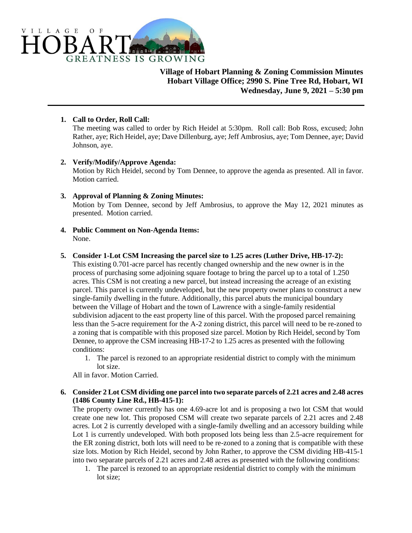

**Village of Hobart Planning & Zoning Commission Minutes Hobart Village Office; 2990 S. Pine Tree Rd, Hobart, WI Wednesday, June 9, 2021 – 5:30 pm**

### **1. Call to Order, Roll Call:**

The meeting was called to order by Rich Heidel at 5:30pm. Roll call: Bob Ross, excused; John Rather, aye; Rich Heidel, aye; Dave Dillenburg, aye; Jeff Ambrosius, aye; Tom Dennee, aye; David Johnson, aye.

#### **2. Verify/Modify/Approve Agenda:**

Motion by Rich Heidel, second by Tom Dennee, to approve the agenda as presented. All in favor. Motion carried.

#### **3. Approval of Planning & Zoning Minutes:**

Motion by Tom Dennee, second by Jeff Ambrosius, to approve the May 12, 2021 minutes as presented. Motion carried.

**4. Public Comment on Non-Agenda Items:** None.

## **5. Consider 1-Lot CSM Increasing the parcel size to 1.25 acres (Luther Drive, HB-17-2):**

This existing 0.701-acre parcel has recently changed ownership and the new owner is in the process of purchasing some adjoining square footage to bring the parcel up to a total of 1.250 acres. This CSM is not creating a new parcel, but instead increasing the acreage of an existing parcel. This parcel is currently undeveloped, but the new property owner plans to construct a new single-family dwelling in the future. Additionally, this parcel abuts the municipal boundary between the Village of Hobart and the town of Lawrence with a single-family residential subdivision adjacent to the east property line of this parcel. With the proposed parcel remaining less than the 5-acre requirement for the A-2 zoning district, this parcel will need to be re-zoned to a zoning that is compatible with this proposed size parcel. Motion by Rich Heidel, second by Tom Dennee, to approve the CSM increasing HB-17-2 to 1.25 acres as presented with the following conditions:

1. The parcel is rezoned to an appropriate residential district to comply with the minimum lot size.

All in favor. Motion Carried.

#### **6. Consider 2 Lot CSM dividing one parcel into two separate parcels of 2.21 acres and 2.48 acres (1486 County Line Rd., HB-415-1):**

The property owner currently has one 4.69-acre lot and is proposing a two lot CSM that would create one new lot. This proposed CSM will create two separate parcels of 2.21 acres and 2.48 acres. Lot 2 is currently developed with a single-family dwelling and an accessory building while Lot 1 is currently undeveloped. With both proposed lots being less than 2.5-acre requirement for the ER zoning district, both lots will need to be re-zoned to a zoning that is compatible with these size lots. Motion by Rich Heidel, second by John Rather, to approve the CSM dividing HB-415-1 into two separate parcels of 2.21 acres and 2.48 acres as presented with the following conditions:

1. The parcel is rezoned to an appropriate residential district to comply with the minimum lot size;